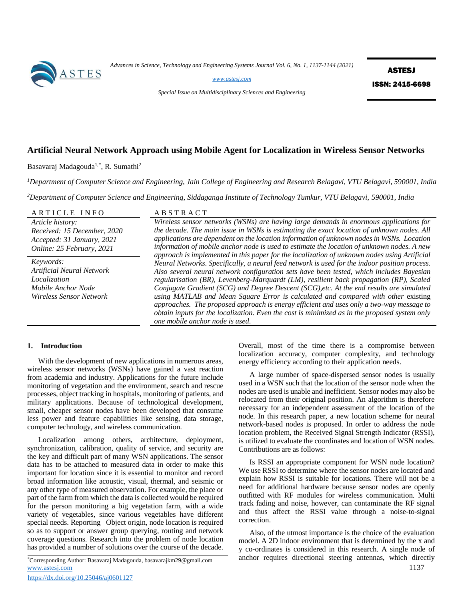

*Advances in Science, Technology and Engineering Systems Journal Vol. 6, No. 1, 1137-1144 (2021)*

*[www.astesj.com](http://www.astesj.com/)* 

**ASTESJ** ISSN: 2415-6698

*Special Issue on Multidisciplinary Sciences and Engineering*

# **Artificial Neural Network Approach using Mobile Agent for Localization in Wireless Sensor Networks**

Basavaraj Madagouda<sup>1,\*</sup>, R. Sumathi<sup>2</sup>

*<sup>1</sup>Department of Computer Science and Engineering, Jain College of Engineering and Research Belagavi, VTU Belagavi, 590001, India*

*<sup>2</sup>Department of Computer Science and Engineering, Siddaganga Institute of Technology Tumkur, VTU Belagavi, 590001, India*

| ARTICLE INFO                                                                                               | <b>ABSTRACT</b>                                                                                                                                                                                                                                                                                                                                                                                                                                                                                                                                                                                                                                                                                      |
|------------------------------------------------------------------------------------------------------------|------------------------------------------------------------------------------------------------------------------------------------------------------------------------------------------------------------------------------------------------------------------------------------------------------------------------------------------------------------------------------------------------------------------------------------------------------------------------------------------------------------------------------------------------------------------------------------------------------------------------------------------------------------------------------------------------------|
| Article history:<br>Received: 15 December, 2020<br>Accepted: 31 January, 2021<br>Online: 25 February, 2021 | Wireless sensor networks (WSNs) are having large demands in enormous applications for<br>the decade. The main issue in WSNs is estimating the exact location of unknown nodes. All<br>applications are dependent on the location information of unknown nodes in WSNs. Location<br>information of mobile anchor node is used to estimate the location of unknown nodes. A new<br>approach is implemented in this paper for the localization of unknown nodes using Artificial                                                                                                                                                                                                                        |
| Keywords:<br>Artificial Neural Network<br>Localization<br>Mobile Anchor Node<br>Wireless Sensor Network    | Neural Networks. Specifically, a neural feed network is used for the indoor position process.<br>Also several neural network configuration sets have been tested, which includes Bayesian<br>regularisation (BR), Levenberg-Marquardt (LM), resilient back propagation (RP), Scaled<br>Conjugate Gradient (SCG) and Degree Descent (SCG), etc. At the end results are simulated<br>using MATLAB and Mean Square Error is calculated and compared with other existing<br>approaches. The proposed approach is energy efficient and uses only a two-way message to<br>obtain inputs for the localization. Even the cost is minimized as in the proposed system only<br>one mobile anchor node is used. |

# **1. Introduction**

With the development of new applications in numerous areas, wireless sensor networks (WSNs) have gained a vast reaction from academia and industry. Applications for the future include monitoring of vegetation and the environment, search and rescue processes, object tracking in hospitals, monitoring of patients, and military applications. Because of technological development, small, cheaper sensor nodes have been developed that consume less power and feature capabilities like sensing, data storage, computer technology, and wireless communication.

Localization among others, architecture, deployment, synchronization, calibration, quality of service, and security are the key and difficult part of many WSN applications. The sensor data has to be attached to measured data in order to make this important for location since it is essential to monitor and record broad information like acoustic, visual, thermal, and seismic or any other type of measured observation. For example, the place or part of the farm from which the data is collected would be required for the person monitoring a big vegetation farm, with a wide variety of vegetables, since various vegetables have different special needs. Reporting Object origin, node location is required so as to support or answer group querying, routing and network coverage questions. Research into the problem of node location has provided a number of solutions over the course of the decade.

[www.astesj.com](http://www.astesj.com/) **1137** \*Corresponding Author: Basavaraj Madagouda, basavarajkm29@gmail.com

Overall, most of the time there is a compromise between localization accuracy, computer complexity, and technology energy efficiency according to their application needs.

A large number of space-dispersed sensor nodes is usually used in a WSN such that the location of the sensor node when the nodes are used is unable and inefficient. Sensor nodes may also be relocated from their original position. An algorithm is therefore necessary for an independent assessment of the location of the node. In this research paper, a new location scheme for neural network-based nodes is proposed. In order to address the node location problem, the Received Signal Strength Indicator (RSSI), is utilized to evaluate the coordinates and location of WSN nodes. Contributions are as follows:

Is RSSI an appropriate component for WSN node location? We use RSSI to determine where the sensor nodes are located and explain how RSSI is suitable for locations. There will not be a need for additional hardware because sensor nodes are openly outfitted with RF modules for wireless communication. Multi track fading and noise, however, can contaminate the RF signal and thus affect the RSSI value through a noise-to-signal correction.

Also, of the utmost importance is the choice of the evaluation model. A 2D indoor environment that is determined by the x and y co-ordinates is considered in this research. A single node of anchor requires directional steering antennas, which directly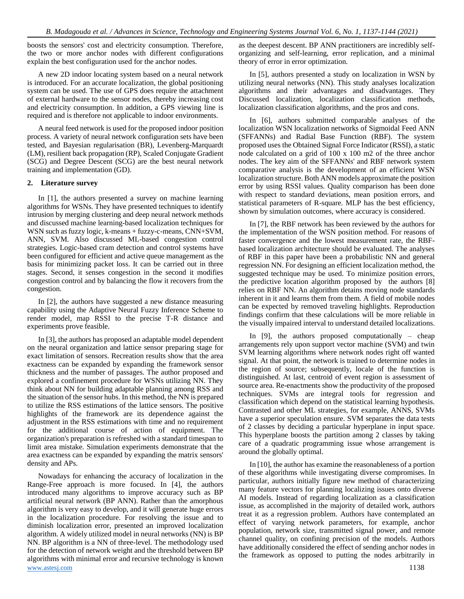boosts the sensors' cost and electricity consumption. Therefore, the two or more anchor nodes with different configurations explain the best configuration used for the anchor nodes.

A new 2D indoor locating system based on a neural network is introduced. For an accurate localization, the global positioning system can be used. The use of GPS does require the attachment of external hardware to the sensor nodes, thereby increasing cost and electricity consumption. In addition, a GPS viewing line is required and is therefore not applicable to indoor environments.

A neural feed network is used for the proposed indoor position process. A variety of neural network configuration sets have been tested, and Bayesian regularisation (BR), Levenberg-Marquardt (LM), resilient back propagation (RP), Scaled Conjugate Gradient (SCG) and Degree Descent (SCG) are the best neural network training and implementation (GD).

## **2. Literature survey**

In [1], the authors presented a survey on machine learning algorithms for WSNs. They have presented techniques to identify intrusion by merging clustering and deep neural network methods and discussed machine learning-based localization techniques for WSN such as fuzzy logic, k-means + fuzzy-c-means, CNN+SVM, ANN, SVM. Also discussed ML-based congestion control strategies. Logic-based cram detection and control systems have been configured for efficient and active queue management as the basis for minimizing packet loss. It can be carried out in three stages. Second, it senses congestion in the second it modifies congestion control and by balancing the flow it recovers from the congestion.

In [2], the authors have suggested a new distance measuring capability using the Adaptive Neural Fuzzy Inference Scheme to render model, map RSSI to the precise T-R distance and experiments prove feasible.

In [3], the authors has proposed an adaptable model dependent on the neural organization and lattice sensor preparing stage for exact limitation of sensors. Recreation results show that the area exactness can be expanded by expanding the framework sensor thickness and the number of passages. The author proposed and explored a confinement procedure for WSNs utilizing NN. They think about NN for building adaptable planning among RSS and the situation of the sensor hubs. In this method, the NN is prepared to utilize the RSS estimations of the lattice sensors. The positive highlights of the framework are its dependence against the adjustment in the RSS estimations with time and no requirement for the additional course of action of equipment. The organization's preparation is refreshed with a standard timespan to limit area mistake. Simulation experiments demonstrate that the area exactness can be expanded by expanding the matrix sensors' density and APs.

[www.astesj.com](http://www.astesj.com/) 1138 Nowadays for enhancing the accuracy of localization in the Range-Free approach is more focused. In [4], the authors introduced many algorithms to improve accuracy such as BP artificial neural network (BP ANN). Rather than the amorphous algorithm is very easy to develop, and it will generate huge errors in the localization procedure. For resolving the issue and to diminish localization error, presented an improved localization algorithm. A widely utilized model in neural networks (NN) is BP NN. BP algorithm is a NN of three-level. The methodology used for the detection of network weight and the threshold between BP algorithms with minimal error and recursive technology is known

as the deepest descent. BP ANN practitioners are incredibly selforganizing and self-learning, error replication, and a minimal theory of error in error optimization.

In [5], authors presented a study on localization in WSN by utilizing neural networks (NN). This study analyses localization algorithms and their advantages and disadvantages. They Discussed localization, localization classification methods, localization classification algorithms, and the pros and cons.

In [6], authors submitted comparable analyses of the localization WSN localization networks of Sigmoidal Feed ANN (SFFANNs) and Radial Base Function (RBF). The system proposed uses the Obtained Signal Force Indicator (RSSI), a static node calculated on a grid of 100 x 100 m2 of the three anchor nodes. The key aim of the SFFANNs' and RBF network system comparative analysis is the development of an efficient WSN localization structure. Both ANN models approximate the position error by using RSSI values. Quality comparison has been done with respect to standard deviations, mean position errors, and statistical parameters of R-square. MLP has the best efficiency, shown by simulation outcomes, where accuracy is considered.

In [7], the RBF network has been reviewed by the authors for the implementation of the WSN position method. For reasons of faster convergence and the lowest measurement rate, the RBFbased localization architecture should be evaluated. The analyses of RBF in this paper have been a probabilistic NN and general regression NN. For designing an efficient localization method, the suggested technique may be used. To minimize position errors, the predictive location algorithm proposed by the authors [8] relies on RBF NN. An algorithm detains moving node standards inherent in it and learns them from them. A field of mobile nodes can be expected by removed traveling highlights. Reproduction findings confirm that these calculations will be more reliable in the visually impaired interval to understand detailed localizations.

In [9], the authors proposed computationally – cheap arrangements rely upon support vector machine (SVM) and twin SVM learning algorithms where network nodes right off wanted signal. At that point, the network is trained to determine nodes in the region of source; subsequently, locale of the function is distinguished. At last, centroid of event region is assessment of source area. Re-enactments show the productivity of the proposed techniques. SVMs are integral tools for regression and classification which depend on the statistical learning hypothesis. Contrasted and other ML strategies, for example, ANNS, SVMs have a superior speculation ensure. SVM separates the data tests of 2 classes by deciding a particular hyperplane in input space. This hyperplane boosts the partition among 2 classes by taking care of a quadratic programming issue whose arrangement is around the globally optimal.

In [10], the author has examine the reasonableness of a portion of these algorithms while investigating diverse compromises. In particular, authors initially figure new method of characterizing many feature vectors for planning localizing issues onto diverse AI models. Instead of regarding localization as a classification issue, as accomplished in the majority of detailed work, authors treat it as a regression problem. Authors have contemplated an effect of varying network parameters, for example, anchor population, network size, transmitted signal power, and remote channel quality, on confining precision of the models. Authors have additionally considered the effect of sending anchor nodes in the framework as opposed to putting the nodes arbitrarily in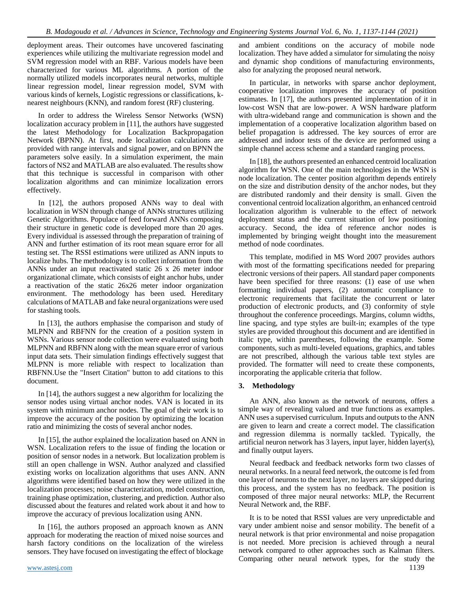deployment areas. Their outcomes have uncovered fascinating experiences while utilizing the multivariate regression model and SVM regression model with an RBF. Various models have been characterized for various ML algorithms. A portion of the normally utilized models incorporates neural networks, multiple linear regression model, linear regression model, SVM with various kinds of kernels, Logistic regressions or classifications, knearest neighbours (KNN), and random forest (RF) clustering.

In order to address the Wireless Sensor Networks (WSN) localization accuracy problem in [11], the authors have suggested the latest Methodology for Localization Backpropagation Network (BPNN). At first, node localization calculations are provided with range intervals and signal power, and on BPNN the parameters solve easily. In a simulation experiment, the main factors of NS2 and MATLAB are also evaluated. The results show that this technique is successful in comparison with other localization algorithms and can minimize localization errors effectively.

In [12], the authors proposed ANNs way to deal with localization in WSN through change of ANNs structures utilizing Genetic Algorithms. Populace of feed forward ANNs composing their structure in genetic code is developed more than 20 ages. Every individual is assessed through the preparation of training of ANN and further estimation of its root mean square error for all testing set. The RSSI estimations were utilized as ANN inputs to localize hubs. The methodology is to collect information from the ANNs under an input reactivated static 26 x 26 meter indoor organizational climate, which consists of eight anchor hubs, under a reactivation of the static 26x26 meter indoor organization environment. The methodology has been used. Hereditary calculations of MATLAB and fake neural organizations were used for stashing tools.

In [13], the authors emphasise the comparison and study of MLPNN and RBFNN for the creation of a position system in WSNs. Various sensor node collection were evaluated using both MLPNN and RBFNN along with the mean square error of various input data sets. Their simulation findings effectively suggest that MLPNN is more reliable with respect to localization than RBFNN.Use the "Insert Citation" button to add citations to this document.

In [14], the authors suggest a new algorithm for localizing the sensor nodes using virtual anchor nodes. VAN is located in its system with minimum anchor nodes. The goal of their work is to improve the accuracy of the position by optimizing the location ratio and minimizing the costs of several anchor nodes.

In [15], the author explained the localization based on ANN in WSN. Localization refers to the issue of finding the location or position of sensor nodes in a network. But localization problem is still an open challenge in WSN. Author analyzed and classified existing works on localization algorithms that uses ANN. ANN algorithms were identified based on how they were utilized in the localization processes; noise characterization, model construction, training phase optimization, clustering, and prediction. Author also discussed about the features and related work about it and how to improve the accuracy of previous localization using ANN.

In [16], the authors proposed an approach known as ANN approach for moderating the reaction of mixed noise sources and harsh factory conditions on the localization of the wireless sensors. They have focused on investigating the effect of blockage

and ambient conditions on the accuracy of mobile node localization. They have added a simulator for simulating the noisy and dynamic shop conditions of manufacturing environments, also for analyzing the proposed neural network.

In particular, in networks with sparse anchor deployment, cooperative localization improves the accuracy of position estimates. In [17], the authors presented implementation of it in low-cost WSN that are low-power. A WSN hardware platform with ultra-wideband range and communication is shown and the implementation of a cooperative localization algorithm based on belief propagation is addressed. The key sources of error are addressed and indoor tests of the device are performed using a simple channel access scheme and a standard ranging process.

In [18], the authors presented an enhanced centroid localization algorithm for WSN. One of the main technologies in the WSN is node localization. The center position algorithm depends entirely on the size and distribution density of the anchor nodes, but they are distributed randomly and their density is small. Given the conventional centroid localization algorithm, an enhanced centroid localization algorithm is vulnerable to the effect of network deployment status and the current situation of low positioning accuracy. Second, the idea of reference anchor nodes is implemented by bringing weight thought into the measurement method of node coordinates.

This template, modified in MS Word 2007 provides authors with most of the formatting specifications needed for preparing electronic versions of their papers. All standard paper components have been specified for three reasons: (1) ease of use when formatting individual papers, (2) automatic compliance to electronic requirements that facilitate the concurrent or later production of electronic products, and (3) conformity of style throughout the conference proceedings. Margins, column widths, line spacing, and type styles are built-in; examples of the type styles are provided throughout this document and are identified in italic type, within parentheses, following the example. Some components, such as multi-leveled equations, graphics, and tables are not prescribed, although the various table text styles are provided. The formatter will need to create these components, incorporating the applicable criteria that follow.

# **3. Methodology**

An ANN, also known as the network of neurons, offers a simple way of revealing valued and true functions as examples. ANN uses a supervised curriculum. Inputs and outputs to the ANN are given to learn and create a correct model. The classification and regression dilemma is normally tackled. Typically, the artificial neuron network has 3 layers, input layer, hidden layer(s), and finally output layers.

Neural feedback and feedback networks form two classes of neural networks. In a neural feed network, the outcome is fed from one layer of neurons to the next layer, no layers are skipped during this process, and the system has no feedback. The position is composed of three major neural networks: MLP, the Recurrent Neural Network and, the RBF.

It is to be noted that RSSI values are very unpredictable and vary under ambient noise and sensor mobility. The benefit of a neural network is that prior environmental and noise propagation is not needed. More precision is achieved through a neural network compared to other approaches such as Kalman filters. Comparing other neural network types, for the study the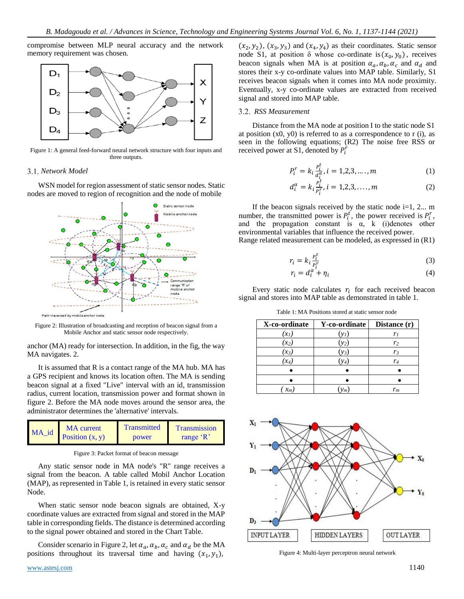compromise between MLP neural accuracy and the network memory requirement was chosen.



Figure 1: A general feed-forward neural network structure with four inputs and three outputs.

## *Network Model*

WSN model for region assessment of static sensor nodes. Static nodes are moved to region of recognition and the node of mobile



Figure 2: Illustration of broadcasting and reception of beacon signal from a Mobile Anchor and static sensor node respectively.

anchor (MA) ready for intersection. In addition, in the fig, the way MA navigates. 2.

It is assumed that R is a contact range of the MA hub. MA has a GPS recipient and knows its location often. The MA is sending beacon signal at a fixed "Live" interval with an id, transmission radius, current location, transmission power and format shown in figure 2. Before the MA node moves around the sensor area, the administrator determines the 'alternative' intervals.



Figure 3: Packet format of beacon message

Any static sensor node in MA node's "R" range receives a signal from the beacon. A table called Mobil Anchor Location (MAP), as represented in Table 1, is retained in every static sensor Node.

When static sensor node beacon signals are obtained, X-y coordinate values are extracted from signal and stored in the MAP table in corresponding fields. The distance is determined according to the signal power obtained and stored in the Chart Table.

Consider scenario in Figure 2, let  $\alpha_a$ ,  $\alpha_b$ ,  $\alpha_c$  and  $\alpha_d$  be the MA positions throughout its traversal time and having  $(x_1, y_1)$ ,

 $(x_2, y_2)$ ,  $(x_3, y_3)$  and  $(x_4, y_4)$  as their coordinates. Static sensor node S1, at position  $\delta$  whose co-ordinate is  $(x_0, y_0)$ , receives beacon signals when MA is at position  $\alpha_a$ ,  $\alpha_b$ ,  $\alpha_c$  and  $\alpha_d$  and stores their x-y co-ordinate values into MAP table. Similarly, S1 receives beacon signals when it comes into MA node proximity. Eventually, x-y co-ordinate values are extracted from received signal and stored into MAP table.

## *RSS Measurement*

Distance from the MA node at position I to the static node S1 at position  $(x0, y0)$  is referred to as a correspondence to r (i), as seen in the following equations; (R2) The noise free RSS or received power at S1, denoted by  $P_i^r$ 

$$
P_i^r = k_i \frac{P_i^t}{d_i^{\alpha}}, i = 1, 2, 3, \dots, m
$$
 (1)

$$
d_i^{\alpha} = k_i \frac{p_i^t}{p_i^r}, i = 1, 2, 3, \dots, m
$$
 (2)

If the beacon signals received by the static node  $i=1, 2...$  m number, the transmitted power is  $P_t^t$ , the power received is  $P_t^r$ , and the propagation constant is  $\alpha$ , k (i)denotes other environmental variables that influence the received power.

Range related measurement can be modeled, as expressed in (R1)

$$
r_i = k_i \frac{P_i^t}{p^r} \tag{3}
$$

$$
r_i \rightarrow r_i \rightarrow r_i
$$
  
\n
$$
r_i = d_i^{\alpha} + \eta_i
$$
 (4)

Every static node calculates  $r_i$  for each received beacon signal and stores into MAP table as demonstrated in table 1.

Table 1: MA Positions stored at static sensor node

| X-co-ordinate | Y-co-ordinate | Distance (r)   |
|---------------|---------------|----------------|
| $(x_1)$       | $(y_I)$       | r,             |
| $(x_2)$       | $(y_2)$       | r <sub>2</sub> |
| $(x_3)$       | $(y_3)$       | r <sub>3</sub> |
| $(x_4)$       | $y_4$         | $r_4$          |
|               |               |                |
|               |               |                |
| $x_m$         | $y_m$         | $r_m$          |



Figure 4: Multi-layer perceptron neural network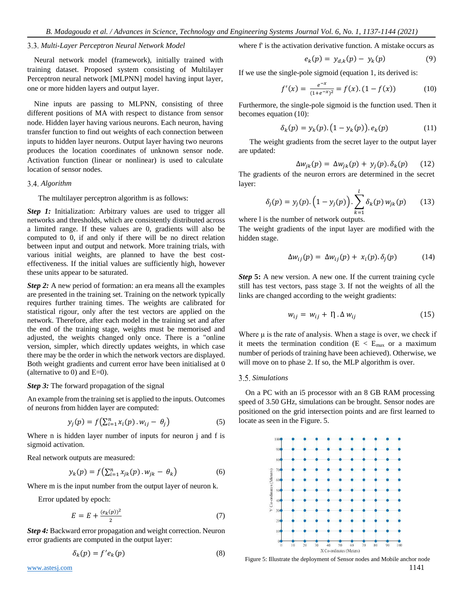# *Multi-Layer Perceptron Neural Network Model*

Neural network model (framework), initially trained with training dataset. Proposed system consisting of Multilayer Perceptron neural network [MLPNN] model having input layer, one or more hidden layers and output layer.

Nine inputs are passing to MLPNN, consisting of three different positions of MA with respect to distance from sensor node. Hidden layer having various neurons. Each neuron, having transfer function to find out weights of each connection between inputs to hidden layer neurons. Output layer having two neurons produces the location coordinates of unknown sensor node. Activation function (linear or nonlinear) is used to calculate location of sensor nodes.

#### *Algorithm*

#### The multilayer perceptron algorithm is as follows:

*Step 1:* Initialization: Arbitrary values are used to trigger all networks and thresholds, which are consistently distributed across a limited range. If these values are 0, gradients will also be computed to 0, if and only if there will be no direct relation between input and output and network. More training trials, with various initial weights, are planned to have the best costeffectiveness. If the initial values are sufficiently high, however these units appear to be saturated.

*Step 2:* A new period of formation: an era means all the examples are presented in the training set. Training on the network typically requires further training times. The weights are calibrated for statistical rigour, only after the test vectors are applied on the network. Therefore, after each model in the training set and after the end of the training stage, weights must be memorised and adjusted, the weights changed only once. There is a "online version, simpler, which directly updates weights, in which case there may be the order in which the network vectors are displayed. Both weight gradients and current error have been initialised at 0 (alternative to 0) and  $E=0$ ).

## *Step 3:* The forward propagation of the signal

An example from the training set is applied to the inputs. Outcomes of neurons from hidden layer are computed:

$$
y_j(p) = f\left(\sum_{i=1}^n x_i(p) \cdot w_{ij} - \theta_j\right) \tag{5}
$$

Where n is hidden layer number of inputs for neuron j and f is sigmoid activation.

Real network outputs are measured:

$$
y_k(p) = f\left(\sum_{i=1}^n x_{jk}(p) \cdot w_{jk} - \theta_k\right) \tag{6}
$$

Where m is the input number from the output layer of neuron k.

Error updated by epoch:

$$
E = E + \frac{(e_k(p))^2}{2} \tag{7}
$$

*Step 4:* Backward error propagation and weight correction. Neuron error gradients are computed in the output layer:

$$
\delta_k(p) = f'e_k(p) \tag{8}
$$

where f' is the activation derivative function. A mistake occurs as

$$
e_k(p) = y_{d,k}(p) - y_k(p)
$$
 (9)

If we use the single-pole sigmoid (equation 1, its derived is:

$$
f'(x) = \frac{e^{-x}}{(1 + e^{-x})^2} = f(x). (1 - f(x)) \tag{10}
$$

Furthermore, the single-pole sigmoid is the function used. Then it becomes equation (10):

$$
\delta_k(p) = y_k(p). (1 - y_k(p)). e_k(p)
$$
 (11)

The weight gradients from the secret layer to the output layer are updated:

$$
\Delta w_{jk}(p) = \Delta w_{jk}(p) + y_j(p) \delta_k(p) \qquad (12)
$$

The gradients of the neuron errors are determined in the secret layer:

$$
\delta_j(p) = y_j(p) \cdot \left(1 - y_j(p)\right) \cdot \sum_{k=1}^l \delta_k(p) w_{jk}(p) \tag{13}
$$

where l is the number of network outputs.

The weight gradients of the input layer are modified with the hidden stage.

$$
\Delta w_{ij}(p) = \Delta w_{ij}(p) + x_i(p) \cdot \delta_j(p) \tag{14}
$$

*Step* **5:** A new version. A new one. If the current training cycle still has test vectors, pass stage 3. If not the weights of all the links are changed according to the weight gradients:

$$
w_{ij} = w_{ij} + \eta \cdot \Delta w_{ij} \tag{15}
$$

Where  $\mu$  is the rate of analysis. When a stage is over, we check if it meets the termination condition ( $E < E_{max}$  or a maximum number of periods of training have been achieved). Otherwise, we will move on to phase 2. If so, the MLP algorithm is over.

#### *Simulations*

On a PC with an i5 processor with an 8 GB RAM processing speed of 3.50 GHz, simulations can be brought. Sensor nodes are positioned on the grid intersection points and are first learned to locate as seen in the Figure. 5.



[www.astesj.com](http://www.astesj.com/) **1141** Figure 5: Illustrate the deployment of Sensor nodes and Mobile anchor node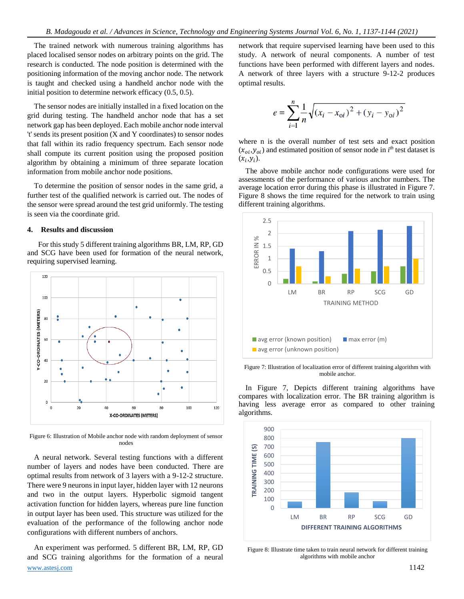The trained network with numerous training algorithms has placed localised sensor nodes on arbitrary points on the grid. The research is conducted. The node position is determined with the positioning information of the moving anchor node. The network is taught and checked using a handheld anchor node with the initial position to determine network efficacy (0.5, 0.5).

The sensor nodes are initially installed in a fixed location on the grid during testing. The handheld anchor node that has a set network gap has been deployed. Each mobile anchor node interval 't' sends its present position (X and Y coordinates) to sensor nodes that fall within its radio frequency spectrum. Each sensor node shall compute its current position using the proposed position algorithm by obtaining a minimum of three separate location information from mobile anchor node positions.

To determine the position of sensor nodes in the same grid, a further test of the qualified network is carried out. The nodes of the sensor were spread around the test grid uniformly. The testing is seen via the coordinate grid.

## **4. Results and discussion**

For this study 5 different training algorithms BR, LM, RP, GD and SCG have been used for formation of the neural network, requiring supervised learning.



Figure 6: Illustration of Mobile anchor node with random deployment of sensor nodes

A neural network. Several testing functions with a different number of layers and nodes have been conducted. There are optimal results from network of 3 layers with a 9-12-2 structure. There were 9 neurons in input layer, hidden layer with 12 neurons and two in the output layers. Hyperbolic sigmoid tangent activation function for hidden layers, whereas pure line function in output layer has been used. This structure was utilized for the evaluation of the performance of the following anchor node configurations with different numbers of anchors.

[www.astesj.com](http://www.astesj.com/) **1142** An experiment was performed. 5 different BR, LM, RP, GD and SCG training algorithms for the formation of a neural

network that require supervised learning have been used to this study. A network of neural components. A number of test functions have been performed with different layers and nodes. A network of three layers with a structure 9-12-2 produces optimal results.

$$
e = \sum_{i=1}^{n} \frac{1}{n} \sqrt{(x_i - x_{oi})^2 + (y_i - y_{oi})^2}
$$

where n is the overall number of test sets and exact position  $(x_{oi}, y_{oi})$  and estimated position of sensor node in  $i<sup>th</sup>$  test dataset is  $(x_i, y_i)$ .

The above mobile anchor node configurations were used for assessments of the performance of various anchor numbers. The average location error during this phase is illustrated in Figure 7. Figure 8 shows the time required for the network to train using different training algorithms.



Figure 7: Illustration of localization error of different training algorithm with mobile anchor.

In Figure 7, Depicts different training algorithms have compares with localization error. The BR training algorithm is having less average error as compared to other training algorithms.



Figure 8: Illustrate time taken to train neural network for different training algorithms with mobile anchor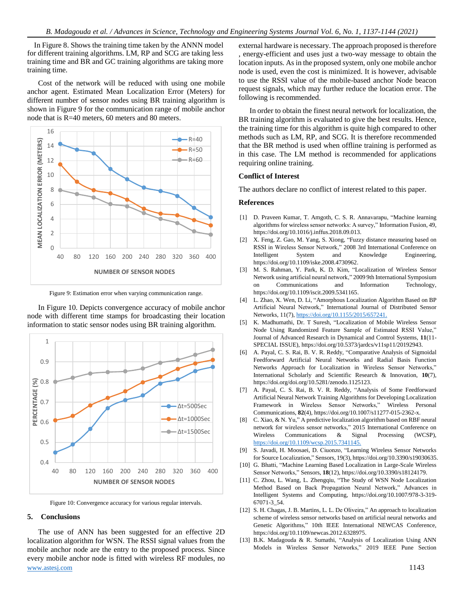In Figure 8. Shows the training time taken by the ANNN model for different training algorithms. LM, RP and SCG are taking less training time and BR and GC training algorithms are taking more training time.

Cost of the network will be reduced with using one mobile anchor agent. Estimated Mean Localization Error (Meters) for different number of sensor nodes using BR training algorithm is shown in Figure 9 for the communication range of mobile anchor node that is R=40 meters, 60 meters and 80 meters.



Figure 9: Estimation error when varying communication range.

In Figure 10. Depicts convergence accuracy of mobile anchor node with different time stamps for broadcasting their location information to static sensor nodes using BR training algorithm.



Figure 10: Convergence accuracy for various regular intervals.

# **5. Conclusions**

[www.astesj.com](http://www.astesj.com/) 1143 The use of ANN has been suggested for an effective 2D localization algorithm for WSN. The RSSI signal values from the mobile anchor node are the entry to the proposed process. Since every mobile anchor node is fitted with wireless RF modules, no

external hardware is necessary. The approach proposed is therefore , energy-efficient and uses just a two-way message to obtain the location inputs. As in the proposed system, only one mobile anchor node is used, even the cost is minimized. It is however, advisable to use the RSSI value of the mobile-based anchor Node beacon request signals, which may further reduce the location error. The following is recommended.

In order to obtain the finest neural network for localization, the BR training algorithm is evaluated to give the best results. Hence, the training time for this algorithm is quite high compared to other methods such as LM, RP, and SCG. It is therefore recommended that the BR method is used when offline training is performed as in this case. The LM method is recommended for applications requiring online training.

### **Conflict of Interest**

The authors declare no conflict of interest related to this paper.

## **References**

- [1] D. Praveen Kumar, T. Amgoth, C. S. R. Annavarapu, "Machine learning algorithms for wireless sensor networks: A survey," Information Fusion, 49, https://doi.org/10.1016/j.inffus.2018.09.013.
- [2] X. Feng, Z. Gao, M. Yang, S. Xiong, "Fuzzy distance measuring based on RSSI in Wireless Sensor Network," 2008 3rd International Conference on Intelligent System and Knowledge Engineering, https://doi.org/10.1109/iske.2008.4730962.
- [3] M. S. Rahman, Y. Park, K. D. Kim, "Localization of Wireless Sensor Network using artificial neural network," 2009 9th International Symposium on Communications and Information Technology, https://doi.org/10.1109/iscit.2009.5341165.
- [4] L. Zhao, X. Wen, D. Li, "Amorphous Localization Algorithm Based on BP Artificial Neural Network," International Journal of Distributed Sensor Networks, 11(7), [https://doi.org/10.1155/2015/657241.](https://doi.org/10.1155/2015/657241)
- [5] K. Madhumathi, Dr. T Suresh, "Localization of Mobile Wireless Sensor Node Using Randomized Feature Sample of Estimated RSSI Value," Journal of Advanced Research in Dynamical and Control Systems, **11**(11- SPECIAL ISSUE), https://doi.org/10.5373/jardcs/v11sp11/20192943.
- [6] A. Payal, C. S. Rai, B. V. R. Reddy, "Comparative Analysis of Sigmoidal Feedforward Artificial Neural Networks and Radial Basis Function Networks Approach for Localization in Wireless Sensor Networks," International Scholarly and Scientific Research & Innovation, **10**(7), https://doi.org/doi.org/10.5281/zenodo.1125123.
- [7] A. Payal, C. S. Rai, B. V. R. Reddy, "Analysis of Some Feedforward Artificial Neural Network Training Algorithms for Developing Localization Framework in Wireless Sensor Networks," Wireless Personal Communications, **82**(4), https://doi.org/10.1007/s11277-015-2362-x.
- [8] C. Xiao, & N. Yu," A predictive localization algorithm based on RBF neural network for wireless sensor networks," 2015 International Conference on Wireless Communications & Signal Processing (WCSP), [https://doi.org/10.1109/wcsp.2015.7341145.](https://doi.org/10.1109/wcsp.2015.7341145)
- [9] S. Javadi, H. Moosaei, D. Ciuonzo, "Learning Wireless Sensor Networks for Source Localization," Sensors, 19(3), https://doi.org/10.3390/s19030635.
- [10] G. Bhatti, "Machine Learning Based Localization in Large-Scale Wireless Sensor Networks," Sensors, **18**(12), https://doi.org/10.3390/s18124179.
- [11] C. Zhou, L. Wang, L. Zhengqiu, "The Study of WSN Node Localization Method Based on Back Propagation Neural Network," Advances in Intelligent Systems and Computing, https://doi.org/10.1007/978-3-319- 67071-3\_54.
- [12] S. H. Chagas, J. B. Martins, L. L. De Oliveira," An approach to localization scheme of wireless sensor networks based on artificial neural networks and Genetic Algorithms," 10th IEEE International NEWCAS Conference, https://doi.org/10.1109/newcas.2012.6328975.
- [13] B.K. Madagouda & R. Sumathi, "Analysis of Localization Using ANN Models in Wireless Sensor Networks," 2019 IEEE Pune Section